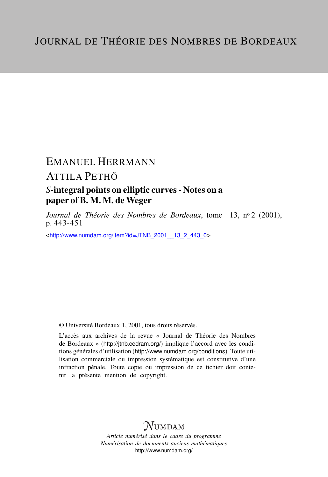## EMANUEL HERRMANN ATTILA PETHÖ

### *S*-integral points on elliptic curves - Notes on a paper of B. M. M. de Weger

*Journal de Théorie des Nombres de Bordeaux*, tome 13, nº 2 (2001), p. 443-451

<[http://www.numdam.org/item?id=JTNB\\_2001\\_\\_13\\_2\\_443\\_0](http://www.numdam.org/item?id=JTNB_2001__13_2_443_0)>

© Université Bordeaux 1, 2001, tous droits réservés.

L'accès aux archives de la revue « Journal de Théorie des Nombres de Bordeaux » (<http://jtnb.cedram.org/>) implique l'accord avec les conditions générales d'utilisation (<http://www.numdam.org/conditions>). Toute utilisation commerciale ou impression systématique est constitutive d'une infraction pénale. Toute copie ou impression de ce fichier doit contenir la présente mention de copyright.

# **NUMDAM**

*Article numérisé dans le cadre du programme Numérisation de documents anciens mathématiques* <http://www.numdam.org/>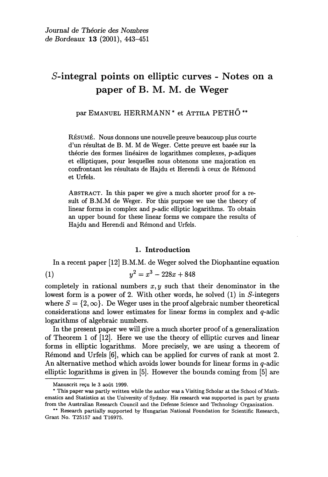### S-integral points on elliptic curves - Notes on a paper of B. M. M. de Weger

par EMANUEL HERRMANN<sup>\*</sup> et ATTILA PETHŐ<sup>\*\*</sup>

RÉSUMÉ. Nous donnons une nouvelle preuve beaucoup plus courte d'un résultat de B. M. M de Weger. Cette preuve est basée sur la théorie des formes linéaires de logarithmes complexes, p-adiques et elliptiques, pour lesquelles nous obtenons une majoration en confrontant les résultats de Hajdu et Herendi à ceux de Rémond et Urfels.

ABSTRACT. In this paper we give a much shorter proof for a result of B.M.M de Weger. For this purpose we use the theory of linear forms in complex and p-adic elliptic logarithms. To obtain an upper bound for these linear forms we compare the results of Hajdu and Herendi and Rémond and Urfels.

#### 1. Introduction

In a recent paper [12] B.M.M. de Weger solved the Diophantine equation

$$
(1) \t\t y^2 = x^3 - 228x + 848
$$

completely in rational numbers  $x, y$  such that their denominator in the lowest form is a power of 2. With other words, he solved (1) in S-integers where  $S = \{2, \infty\}$ . De Weger uses in the proof algebraic number theoretical considerations and lower estimates for linear forms in complex and q-adic logarithms of algebraic numbers.

In the present paper we will give a much shorter proof of a generalization of Theorem 1 of [12]. Here we use the theory of elliptic curves and linear forms in elliptic logarithms. More precisely, we are using a theorem of Rémond and Urfels [6], which can be applied for curves of rank at most 2. An alternative method which avoids lower bounds for linear forms in q-adic elliptic logarithms is given in [5]. However the bounds coming from [5] are

Manuscrit reçu le 3 août 1999.

<sup>\*</sup> This paper was partly written while the author was a Visiting Scholar at the School of Mathematics and Statistics at the University of Sydney. His research was supported in part by grants from the Australian Research Council and the Defense Science and Technology Organization.

<sup>\*\*</sup> Research partially supported by Hungarian National Foundation for Scientific Research, Grant No. T25157 and T16975.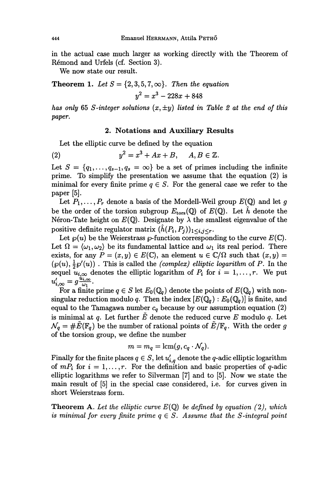in the actual case much larger as working directly with the Theorem of Remond and Urfels (cf. Section 3).

We now state our result.

**Theorem 1.** Let  $S = \{2, 3, 5, 7, \infty\}$ . Then the equation  $y^2 = x^3 - 228x + 848$ 

has only 65 S-integer solutions  $(x, \pm y)$  listed in Table 2 at the end of this paper.

#### 2. Notations and Auxiliary Results

Let the elliptic curve be defined by the equation

$$
(2) \t y2 = x3 + Ax + B, \t A, B \in \mathbb{Z}
$$

Let  $S = \{q_1, \ldots, q_{s-1}, q_s = \infty\}$  be a set of primes including the infinite prime. To simplify the presentation we assume that the equation (2) is minimal for every finite prime  $q \in S$ . For the general case we refer to the paper [5].

Let  $P_1, \ldots, P_r$  denote a basis of the Mordell-Weil group  $E(\mathbb{Q})$  and let g be the order of the torsion subgroup  $E_{\text{tors}}(\mathbb{Q})$  of  $E(\mathbb{Q})$ . Let  $\hat{h}$  denote the Néron-Tate height on  $E(\mathbb{Q})$ . Designate by  $\lambda$  the smallest eigenvalue of the positive definite regulator matrix  $(h(P_i, P_j))_{1 \leq i,j \leq r}$ .

Let  $\wp(u)$  be the Weierstrass  $\wp$ -function corresponding to the curve  $E(\mathbb{C})$ . Let  $\Omega = \langle \omega_1, \omega_2 \rangle$  be its fundamental lattice and  $\omega_1$  its real period. There exists, for any  $P = (x, y) \in E(\mathbb{C})$ , an element  $u \in \mathbb{C}/\Omega$  such that  $(x, y) =$  $i(\varphi(u), \frac{1}{2}\varphi'(u))$ . This is called the *(complex) elliptic logarithm* of P. In the sequel  $u_{i,\infty}$  denotes the elliptic logarithm of  $P_i$  for  $i = 1, \ldots, r$ . We put Let  $\wp(u)$  b<br>Let  $\Omega = \langle \omega_1,$ <br>exists, for any<br> $(\wp(u), \frac{1}{2}\wp'(u))$ <br>sequel  $u_{i,\infty}$  d<br> $u'_{i,\infty} = g \frac{u_{i,\infty}}{\omega_1}$ .<br>For a finite<br>singular reduc  $\sum_{i,\infty}^{\prime}=g\frac{\omega_{i,\infty}}{\omega_{1}}$ 

For a finite prime  $q \in S$  let  $E_0(\mathbb{Q}_q)$  denote the points of  $E(\mathbb{Q}_q)$  with nonsingular reduction modulo q. Then the index  $[E(\mathbb{Q}_q) : E_0(\mathbb{Q}_q)]$  is finite, and equal to the Tamagawa number  $c_q$  because by our assumption equation (2) is minimal at q. Let further  $\tilde{E}$  denote the reduced curve E modulo q. Let  $\mathcal{N}_q = \# \tilde{E}(\mathbb{F}_q)$  be the number of rational points of  $\tilde{E}/\mathbb{F}_q$ . With the order g of the torsion group, we define the number

$$
m = m_q = \text{lcm}(g, c_q \cdot \mathcal{N}_q).
$$

Finally for the finite places  $q \in S$ , let  $u'_{i,q}$  denote the q-adic elliptic logarithm of  $mP_i$  for  $i = 1, \ldots, r$ . For the definition and basic properties of q-adic elliptic logarithms we refer to Silverman [7] and to [5]. Now we state the main result of [5] in the special case considered, i.e. for curves given in short Weierstrass form.

**Theorem A.** Let the elliptic curve  $E(\mathbb{Q})$  be defined by equation (2), which is minimal for every finite prime  $q \in S$ . Assume that the S-integral point

444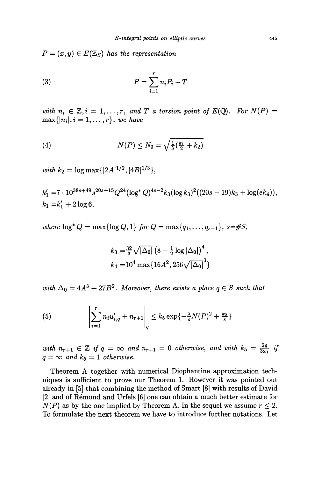$P = (x, y) \in E(\mathbb{Z}_S)$  has the representation

$$
(3) \t\t P = \sum_{i=1}^{r} n_i P_i + T
$$

with  $n_i \in \mathbb{Z}, i = 1, ..., r$ , and T a torsion point of  $E(\mathbb{Q})$ . For  $N(P) = \max\{|n_i|, i = 1, ..., r\}$ , we have

(4) 
$$
N(P) \leq N_0 = \sqrt{\frac{1}{\lambda} (\frac{k_1}{2} + k_2)}
$$

with  $k_2 = \log \max\{|2A|^{1/2}, |4B|^{1/3}\},$ 

$$
k'_1 = 7 \cdot 10^{38s + 49} s^{20s + 15} Q^{24} (\log^* Q)^{4s - 2} k_3 (\log k_3)^2 ((20s - 19)k_3 + \log(ek_4)),
$$
  

$$
k_1 = k'_1 + 2 \log 6,
$$

where  $\log^* Q = \max\{\log Q, 1\}$  for  $Q = \max\{q_1, ..., q_{s-1}\}, s = \#S$ ,

$$
k_3 = \frac{32}{3} \sqrt{|\Delta_0|} \left(8 + \frac{1}{2} \log |\Delta_0|\right)^4,
$$
  
\n
$$
k_4 = 10^4 \max\{16A^2, 256\sqrt{|\Delta_0|}^3\}
$$

with  $\Delta_0 = 4A^3 + 27B^2$ . Moreover, there exists a place  $q \in S$  such that

(5) 
$$
\left| \sum_{i=1}^{r} n_i u'_{i,q} + n_{r+1} \right|_q \leq k_5 \exp\{-\frac{\lambda}{s} N(P)^2 + \frac{k_2}{s} \}
$$

with  $n_{r+1} \in \mathbb{Z}$  if  $q = \infty$  and  $n_{r+1} = 0$  otherwise, and with  $k_5 = \frac{2g}{3\omega_1}$  if  $q = \infty$  and  $k_5 = 1$  otherwise.

Theorem A together with numerical Diophantine approximation techniques is sufficient to prove our Theorem 1. However it was pointed out already in [5] that combining the method of Smart [8] with results of David [2] and of Remond and Urfels [6] one can obtain a much better estimate for  $N(P)$  as by the one implied by Theorem A. In the sequel we assume  $r \leq 2$ . To formulate the next theorem we have to introduce further notations. Let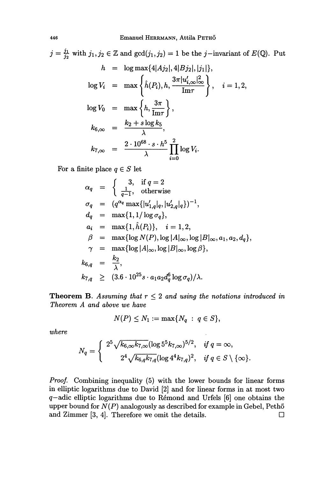Put

$$
j = \frac{j_1}{j_2} \text{ with } j_1, j_2 \in \mathbb{Z} \text{ and } \gcd(j_1, j_2) = 1 \text{ be the } j-\text{invariant of } E(\mathbb{Q}).
$$
  
\n
$$
h = \log \max\{4|Aj_2|, 4|Bj_2|, |j_1|\},
$$
  
\n
$$
\log V_i = \max\left\{\hat{h}(P_i), h, \frac{3\pi |u'_{i,\infty}|_{\infty}^2}{\text{Im}\tau}\right\}, \quad i = 1, 2,
$$
  
\n
$$
\log V_0 = \max\left\{h, \frac{3\pi}{\text{Im}\tau}\right\},
$$
  
\n
$$
k_{6,\infty} = \frac{k_2 + s \log k_5}{\lambda},
$$
  
\n
$$
k_{7,\infty} = \frac{2 \cdot 10^{68} \cdot s \cdot h^5}{\lambda} \prod_{i=0}^2 \log V_i.
$$

For a finite place  $q \in S$  let

$$
\alpha_q = \begin{cases}\n3, & \text{if } q = 2 \\
\frac{1}{q-1}, & \text{otherwise}\n\end{cases}
$$
\n
$$
\sigma_q = (q^{\alpha_q} \max\{|u'_{1,q}|_q, |u'_{2,q}|_q\})^{-1},
$$
\n
$$
d_q = \max\{1, 1/\log \sigma_q\},
$$
\n
$$
a_i = \max\{1, \hat{h}(P_i)\}, \quad i = 1, 2,
$$
\n
$$
\beta = \max\{\log N(P), \log |A|_{\infty}, \log |B|_{\infty}, a_1, a_2, d_q\},
$$
\n
$$
\gamma = \max\{\log |A|_{\infty}, \log |B|_{\infty}, \log \beta\},
$$
\n
$$
k_{6,q} = \frac{k_2}{\lambda},
$$
\n
$$
k_{7,q} \geq (3.6 \cdot 10^{25} s \cdot a_1 a_2 d_q^6 \log \sigma_q) / \lambda.
$$

**Theorem B.** Assuming that  $r \leq 2$  and using the notations introduced in Theorem A and above we have

$$
N(P) \leq N_1 := \max\{N_q \ : \ q \in S\},\
$$

where

$$
N_q = \begin{cases} 2^5 \sqrt{k_{6,\infty} k_{7,\infty}} (\log 5^5 k_{7,\infty})^{5/2}, & \text{if } q = \infty, \\ 2^4 \sqrt{k_{6,q} k_{7,q}} (\log 4^4 k_{7,q})^2, & \text{if } q \in S \setminus \{\infty\}. \end{cases}
$$

Proof. Combining inequality (5) with the lower bounds for linear forms in elliptic logarithms due to David [2] and for linear forms in at most two  $q$ -adic elliptic logarithms due to Rémond and Urfels  $[6]$  one obtains the upper bound for  $N(P)$  analogously as described for example in Gebel, Pethő and Zimmer [3, 4]. Therefore we omit the details. and Zimmer  $[3, 4]$ . Therefore we omit the details.

 $\sim$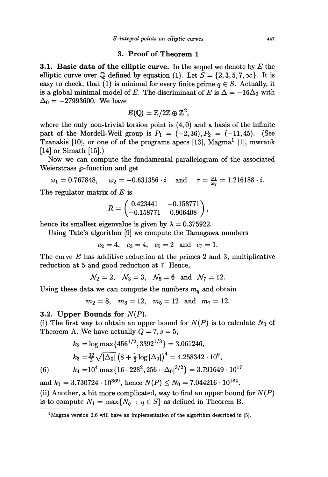#### 3. Proof of Theorem 1

**3.1. Basic data of the elliptic curve.** In the sequel we denote by  $E$  the elliptic curve over Q defined by equation (1). Let  $S = \{2, 3, 5, 7, \infty\}$ . It is easy to check, that (1) is minimal for every finite prime  $q \in S$ . Actually, it is a global minimal model of E. The discriminant of E is  $\Delta = -16\Delta_0$  with  $\Delta_0 = -27993600$ . We have

$$
E(\mathbb{Q}) \simeq \mathbb{Z}/2\mathbb{Z} \oplus \mathbb{Z}^2,
$$

where the only non-trivial torsion point is  $(4, 0)$  and a basis of the infinite part of the Mordell-Weil group is  $P_1 = (-2,36), P_2 = (-11,45)$ . (See Tzanakis  $[10]$ , or one of of the programs apecs  $[13]$ ,  $Magma<sup>1</sup>$   $[1]$ , mwrank [14] or Simath [15].)

Now we can compute the fundamental parallelogram of the associated Weierstrass  $\wp$ -function and get

 $\omega_1 = 0.767848, \quad \omega_2 = -0.631356 \cdot i \quad \text{and} \quad \tau = \frac{\omega_1}{\omega_2} = 1.216188 \cdot i.$ 

The regulator matrix of  $E$  is

$$
R = \begin{pmatrix} 0.423441 & -0.158771 \\ -0.158771 & 0.906408 \end{pmatrix},
$$

hence its smallest eigenvalue is given by  $\lambda = 0.375922$ .

Using Tate's algorithm [9] we compute the Tamagawa numbers

 $c_2 = 4$ ,  $c_3 = 4$ ,  $c_5 = 2$  and  $c_7 = 1$ .

The curve  $E$  has additive reduction at the primes 2 and 3, multiplicative reduction at 5 and good reduction at 7. Hence,

$$
\mathcal{N}_2 = 2
$$
,  $\mathcal{N}_3 = 3$ ,  $\mathcal{N}_5 = 6$  and  $\mathcal{N}_7 = 12$ .

Using these data we can compute the numbers  $m_q$  and obtain

 $m_2 = 8$ ,  $m_3 = 12$ ,  $m_5 = 12$  and  $m_7 = 12$ .

#### 3.2. Upper Bounds for  $N(P)$ .

(i) The first way to obtain an upper bound for  $N(P)$  is to calculate  $N_0$  of Theorem A. We have actually  $Q = 7, s = 5$ ,

$$
k_2 = \log \max\{456^{1/2}, 3392^{1/3}\} = 3.061246,
$$

$$
k_3 = \frac{32}{3} \sqrt{|\Delta_0| (8 + \frac{1}{2} \log |\Delta_0|)^4} = 4.258342 \cdot 10^9,
$$

(6) 
$$
k_4 = 10^4 \max\{16 \cdot 228^2, 256 \cdot |\Delta_0|^{3/2}\} = 3.791649 \cdot 10^{17}
$$

and  $k_1 = 3.730724 \cdot 10^{369}$ , hence  $N(P) \le N_0 = 7.044216 \cdot 10^{184}$ . (ii) Another, a bit more complicated, way to find an upper bound for  $N(P)$ is to compute  $N_1 = \max\{N_q : q \in S\}$  as defined in Theorem B.

<sup>&</sup>lt;sup>1</sup> Magma version 2.6 will have an implementation of the algorithm described in [5].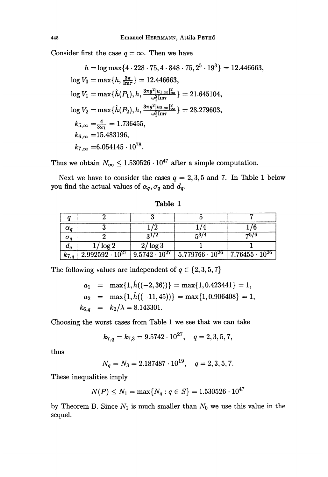Consider first the case  $q = \infty$ . Then we have

$$
h = \log \max\{4 \cdot 228 \cdot 75, 4 \cdot 848 \cdot 75, 2^5 \cdot 19^3\} = 12.446663,
$$
  
\n
$$
\log V_0 = \max\{h, \frac{3\pi}{\ln \tau}\} = 12.446663,
$$
  
\n
$$
\log V_1 = \max\{\hat{h}(P_1), h, \frac{3\pi g^2 |u_{1,\infty}|_{\infty}^2}{\omega_1^2 \ln \tau}\} = 21.645104,
$$
  
\n
$$
\log V_2 = \max\{\hat{h}(P_2), h, \frac{3\pi g^2 |u_{2,\infty}|_{\infty}^2}{\omega_1^2 \ln \tau}\} = 28.279603,
$$
  
\n
$$
k_{5,\infty} = \frac{4}{3\omega_1} = 1.736455,
$$
  
\n
$$
k_{6,\infty} = 15.483196,
$$
  
\n
$$
k_{7,\infty} = 6.054145 \cdot 10^{78}.
$$

Thus we obtain  $N_{\infty} \leq 1.530526 \cdot 10^{47}$  after a simple computation.

Next we have to consider the cases  $q = 2, 3, 5$  and 7. In Table 1 below you find the actual values of  $\alpha_q, \sigma_q$  and  $d_q$ .

Table 1

| $\alpha_o$ |                          |                        |                                                    |      |
|------------|--------------------------|------------------------|----------------------------------------------------|------|
|            |                          |                        | 53/4                                               | 75/6 |
| $\bm{u_o}$ | $/\log 2$                | $2/\log 3$             |                                                    |      |
| $k_{7,q}$  | $2.992592 \cdot 10^{27}$ | $9.5742 \cdot 10^{27}$ | $5.779766 \cdot 10^{26}$   $7.76455 \cdot 10^{26}$ |      |

The following values are independent of  $q \in \{2,3,5,7\}$ 

$$
a_1 = \max\{1, \hat{h}((-2, 36))\} = \max\{1, 0.423441\} = 1,
$$
  
\n
$$
a_2 = \max\{1, \hat{h}((-11, 45))\} = \max\{1, 0.906408\} = 1,
$$
  
\n
$$
k_{6,q} = k_2/\lambda = 8.143301.
$$

Choosing the worst cases from Table 1 we see that we can take

$$
k_{7,q} = k_{7,3} = 9.5742 \cdot 10^{27}, \quad q = 2,3,5,7,
$$

thus

$$
N_q = N_3 = 2.187487 \cdot 10^{19}, \quad q = 2, 3, 5, 7.
$$

These inequalities imply

$$
N(P) \le N_1 = \max\{N_q : q \in S\} = 1.530526 \cdot 10^{47}
$$

by Theorem B. Since  $N_1$  is much smaller than  $N_0$  we use this value in the sequel.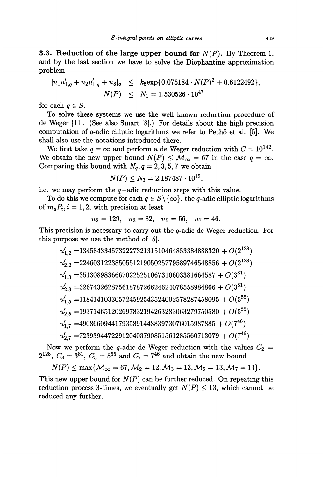3.3. Reduction of the large upper bound for  $N(P)$ . By Theorem 1, and by the last section we have to solve the Diophantine approximation problem

$$
|n_1u'_{1,q} + n_2u'_{1,q} + n_3|_q \le k_5 \exp\{0.075184 \cdot N(P)^2 + 0.6122492\},
$$
  

$$
N(P) \le N_1 = 1.530526 \cdot 10^{47}
$$

for each  $q \in S$ .

To solve these systems we use the well known reduction procedure of de Weger [11]. (See also Smart [8].) For details about the high precision computation of  $q$ -adic elliptic logarithms we refer to Peth $\ddot{o}$  et al. [5]. We shall also use the notations introduced there.

We first take  $q = \infty$  and perform a de Weger reduction with  $C = 10^{142}$ . We obtain the new upper bound  $N(P) \leq M_{\infty} = 67$  in the case  $q = \infty$ . Comparing this bound with  $N_q$ ,  $q = 2, 3, 5, 7$  we obtain

$$
N(P) \le N_3 = 2.187487 \cdot 10^{19},
$$

i.e. we may perform the  $q$ -adic reduction steps with this value.

To do this we compute for each  $q \in S \setminus \{\infty\}$ , the q-adic elliptic logarithms of  $m_q P_i$ ,  $i = 1, 2$ , with precision at least

$$
n_2=129, n_3=82, n_5=56, n_7=46.
$$

This precision is necessary to carry out the q-adic de Weger reduction. For this purpose we use the method of [5].

$$
u_{1,2}^{\prime} = 134584334573222732131510464853384888320 + O(2^{128})
$$
\n
$$
u_{2,2}^{\prime} = 224603122385055121905025779589746548856 + O(2^{128})
$$
\n
$$
u_{1,3}^{\prime} = 35130898366670225251067310603381664587 + O(3^{81})
$$
\n
$$
u_{2,3}^{\prime} = 32674326287561878726624624078558984866 + O(3^{81})
$$
\n
$$
u_{1,5}^{\prime} = 118414103305724592543524002578287458095 + O(5^{55})
$$
\n
$$
u_{2,5}^{\prime} = 193714651202697832194263283063279750580 + O(5^{55})
$$
\n
$$
u_{1,7}^{\prime} = 49086609441793589144883973076015987885 + O(7^{46})
$$
\n
$$
u_{2,7}^{\prime} = 723939447229120403790851561285560713079 + O(7^{46})
$$

Now we perform the q-adic de Weger reduction with the values  $C_2$  =  $2^{128}$ ,  $C_3 = 3^{81}$ ,  $C_5 = 5^{55}$  and  $C_7 = 7^{46}$  and obtain the new bound

$$
N(P) \le \max\{\mathcal{M}_{\infty} = 67, \mathcal{M}_2 = 12, \mathcal{M}_3 = 13, \mathcal{M}_5 = 13, \mathcal{M}_7 = 13\}.
$$

This new upper bound for  $N(P)$  can be further reduced. On repeating this reduction process 3-times, we eventually get  $N(P) \le 13$ , which cannot be reduced any further.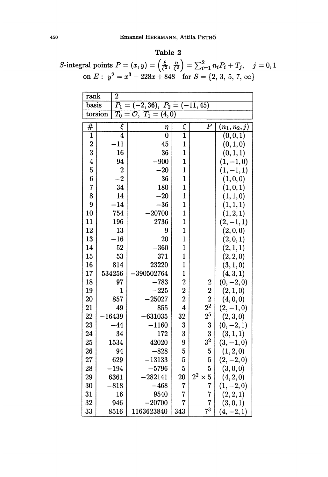### Table 2

S-integral points  $P = (x, y) = \left(\frac{\xi}{\zeta^2}, \frac{\eta}{\zeta^3}\right) = \sum_{i=1}^2 n_i P_i + T_j$ ,  $j = 0, 1$ <br>on  $E: y^2 = x^3 - 228x + 848$  for  $S = \{2, 3, 5, 7, \infty\}$ 

| $\overline{2}$<br>rank                                                                           |                  |                |                |                                  |               |  |  |  |  |
|--------------------------------------------------------------------------------------------------|------------------|----------------|----------------|----------------------------------|---------------|--|--|--|--|
| basis<br>$\overline{P}_1$<br>(2, 36),<br>$-11,45$<br>$P_2\,$                                     |                  |                |                |                                  |               |  |  |  |  |
| torsion<br>$\overline{T_0}$<br>$\overline{(4,0)}$<br>$\overline{\mathcal{O}},$<br>$T_1 =$<br>$=$ |                  |                |                |                                  |               |  |  |  |  |
| $^{\#}$                                                                                          | ξ                | η              | ς              | $\overline F$                    | $(n_1,n_2,j)$ |  |  |  |  |
| 1                                                                                                | $\overline{4}$   | $\overline{0}$ | $\overline{1}$ |                                  | (0, 0, 1)     |  |  |  |  |
| $\overline{2}$                                                                                   | $-11$            | 45             | $\mathbf{1}$   |                                  | (0, 1, 0)     |  |  |  |  |
| 3                                                                                                | 16               | 36             | $\mathbf{1}$   |                                  | (0, 1, 1)     |  |  |  |  |
| $\overline{\mathbf{4}}$                                                                          | 94               | 900            | $\mathbf{1}$   |                                  | $(1, -1, 0)$  |  |  |  |  |
| $\mathbf 5$                                                                                      | $\boldsymbol{2}$ | $-20$          | $\mathbf{1}$   |                                  | $(1, -1, 1)$  |  |  |  |  |
| $\boldsymbol{6}$                                                                                 | $-2$             | 36             | $\mathbf{1}$   |                                  | (1, 0, 0)     |  |  |  |  |
| 7                                                                                                | 34               | 180            | $\mathbf{1}$   |                                  | (1, 0, 1)     |  |  |  |  |
| 8                                                                                                | 14               | $-20$          | $\mathbf{1}$   |                                  | (1, 1, 0)     |  |  |  |  |
| 9                                                                                                | $-14$            | $-36$          | $\mathbf{1}$   |                                  | (1, 1, 1)     |  |  |  |  |
| 10                                                                                               | 754              | 20700          | $\mathbf{1}$   |                                  | (1, 2, 1)     |  |  |  |  |
| 11                                                                                               | 196              | 2736           | $\mathbf{1}$   |                                  | $(2,-1,1)$    |  |  |  |  |
| 12                                                                                               | 13               | 9              | $\mathbf{1}$   |                                  | (2,0,0)       |  |  |  |  |
| 13                                                                                               | 16               | 20             | $\mathbf{1}$   |                                  | (2,0,1)       |  |  |  |  |
| 14                                                                                               | 52               | $-360$         | $\mathbf{1}$   |                                  | (2, 1, 1)     |  |  |  |  |
| 15                                                                                               | 53               | 371            | $\mathbf{1}$   |                                  | (2, 2, 0)     |  |  |  |  |
| 16                                                                                               | 814              | 23220          | $\mathbf{1}$   |                                  | (3, 1, 0)     |  |  |  |  |
| 17                                                                                               | 534256           | 390502764      | $\mathbf{1}$   |                                  | (4,3,1)       |  |  |  |  |
| 18                                                                                               | 97               | $-783$         | $\overline{2}$ | $\boldsymbol{2}$                 | $(0, -2, 0)$  |  |  |  |  |
| 19                                                                                               | $\mathbf{1}$     | $-225$         | $\overline{2}$ | $\overline{2}$                   | (2,1,0)       |  |  |  |  |
| 20                                                                                               | 857              | 25027          | $\overline{2}$ |                                  | (4, 0, 0)     |  |  |  |  |
| 21                                                                                               | 49               | 855            | $\overline{4}$ | $\frac{2}{2^2}$                  | $(2,-1,0)$    |  |  |  |  |
| 22                                                                                               | 16439            | 631035         | 32             | $2^5$                            | (2,3,0)       |  |  |  |  |
| 23                                                                                               | $-44$            | $-1160$        | 3              | 3                                | $(0, -2, 1)$  |  |  |  |  |
| 24                                                                                               | 34               | 172            | 3              | 3                                | (3,1,1)       |  |  |  |  |
| 25                                                                                               | 1534             | 42020          | 9              | $3^2$                            | $(3,-1,0)$    |  |  |  |  |
| 26                                                                                               | 94               | $-828$         | $\overline{5}$ | $\mathbf 5$                      | (1,2,0)       |  |  |  |  |
| 27                                                                                               | 629              | 13133          | 5              | 5                                | $(2,-2,0)$    |  |  |  |  |
| 28                                                                                               | 194              | $-5796$        | $\overline{5}$ | 5                                | (3,0,0)       |  |  |  |  |
| 29                                                                                               | 6361             | 282141         | <b>20</b>      | $2^2$ $\times$<br>$\overline{5}$ | (4,2,0)       |  |  |  |  |
| 30                                                                                               | 818              | $-468$         | $\overline{7}$ | 7                                | $(1, -2, 0)$  |  |  |  |  |
| 31                                                                                               | 16               | 9540           | $\overline{7}$ | 7                                | (2,2,1)       |  |  |  |  |
| 32                                                                                               | 946              | 20700          | 7              | 7                                | (3,0,1)       |  |  |  |  |
| 33                                                                                               | 8516             | 1163623840     | 343            | $7^3$                            | $(4, -2, 1)$  |  |  |  |  |